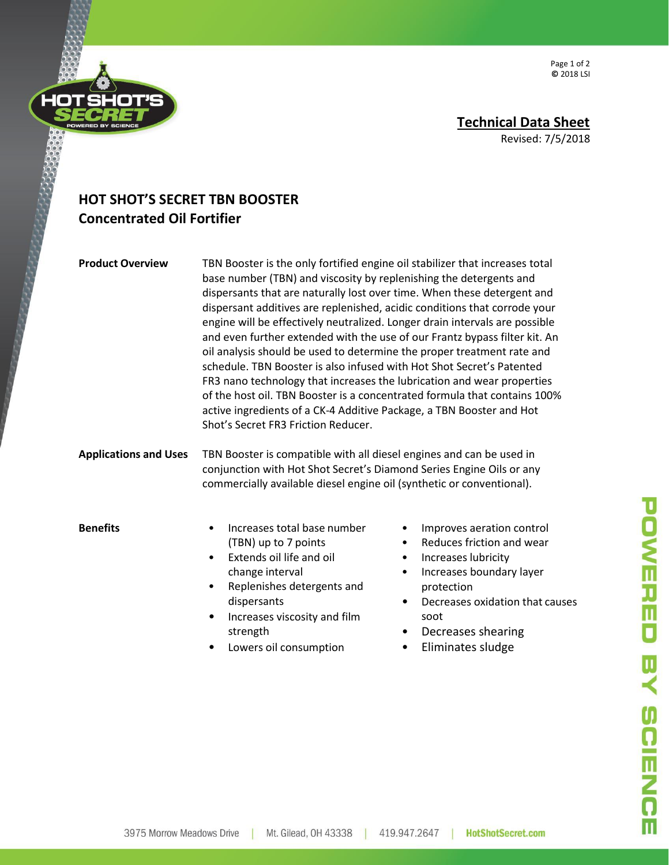Page 1 of 2 **©** 2018 LSI

## **HOT SHOT'S SECRET TBN BOOSTER Concentrated Oil Fortifier**

**Product Overview** TBN Booster is the only fortified engine oil stabilizer that increases total base number (TBN) and viscosity by replenishing the detergents and dispersants that are naturally lost over time. When these detergent and dispersant additives are replenished, acidic conditions that corrode your engine will be effectively neutralized. Longer drain intervals are possible and even further extended with the use of our Frantz bypass filter kit. An oil analysis should be used to determine the proper treatment rate and schedule. TBN Booster is also infused with Hot Shot Secret's Patented FR3 nano technology that increases the lubrication and wear properties of the host oil. TBN Booster is a concentrated formula that contains 100% active ingredients of a CK-4 Additive Package, a TBN Booster and Hot Shot's Secret FR3 Friction Reducer.

**Applications and Uses** TBN Booster is compatible with all diesel engines and can be used in conjunction with Hot Shot Secret's Diamond Series Engine Oils or any commercially available diesel engine oil (synthetic or conventional).

- **Benefits** Increases total base number (TBN) up to 7 points
	- Extends oil life and oil change interval
	- Replenishes detergents and dispersants
	- Increases viscosity and film strength
	- Lowers oil consumption
- Improves aeration control
- Reduces friction and wear
- Increases lubricity
- Increases boundary layer protection
- Decreases oxidation that causes soot
- Decreases shearing
- Eliminates sludge